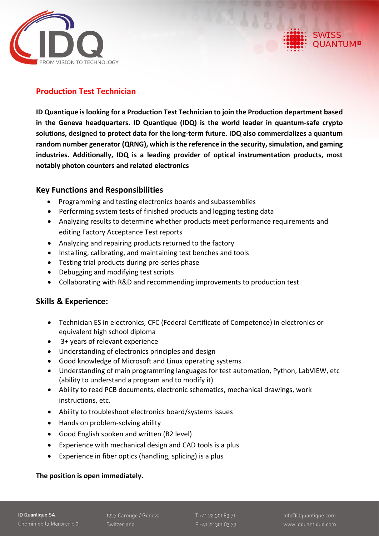

# **Production Test Technician**

**ID Quantique is looking for a Production Test Technician to join the Production department based in the Geneva headquarters. ID Quantique (IDQ) is the world leader in quantum-safe crypto solutions, designed to protect data for the long-term future. IDQ also commercializes a quantum random number generator (QRNG), which is the reference in the security, simulation, and gaming industries. Additionally, IDQ is a leading provider of optical instrumentation products, most notably photon counters and related electronics**

# **Key Functions and Responsibilities**

- Programming and testing electronics boards and subassemblies
- Performing system tests of finished products and logging testing data
- Analyzing results to determine whether products meet performance requirements and editing Factory Acceptance Test reports
- Analyzing and repairing products returned to the factory
- Installing, calibrating, and maintaining test benches and tools
- Testing trial products during pre-series phase
- Debugging and modifying test scripts
- Collaborating with R&D and recommending improvements to production test

### **Skills & Experience:**

- Technician ES in electronics, CFC (Federal Certificate of Competence) in electronics or equivalent high school diploma
- 3+ years of relevant experience
- Understanding of electronics principles and design
- Good knowledge of Microsoft and Linux operating systems
- Understanding of main programming languages for test automation, Python, LabVIEW, etc (ability to understand a program and to modify it)
- Ability to read PCB documents, electronic schematics, mechanical drawings, work instructions, etc.
- Ability to troubleshoot electronics board/systems issues
- Hands on problem-solving ability
- Good English spoken and written (B2 level)
- Experience with mechanical design and CAD tools is a plus
- Experience in fiber optics (handling, splicing) is a plus

#### **The position is open immediately.**